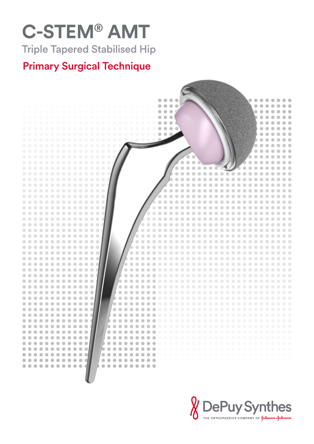# **C-STEM® AMT** Triple Tapered Stabilised Hip



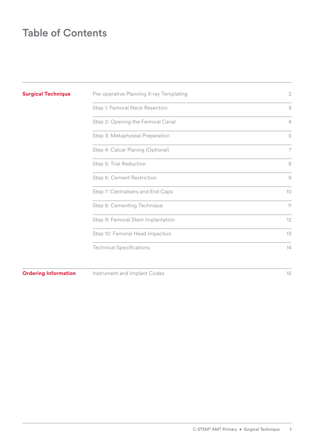### Table of Contents

| <b>Surgical Technique</b>   | Pre-operative Planning X-ray Templating | $\mathbf{2}$   |
|-----------------------------|-----------------------------------------|----------------|
|                             | Step 1: Femoral Neck Resection          | 3              |
|                             | Step 2: Opening the Femoral Canal       | $\overline{4}$ |
|                             | Step 3: Metaphyseal Preparation         | 5              |
|                             | Step 4: Calcar Planing (Optional)       | $\overline{7}$ |
|                             | Step 5: Trial Reduction                 | 8              |
|                             | Step 6: Cement Restriction              | $\mathcal{G}$  |
|                             | Step 7: Centralisers and End Caps       | 10             |
|                             | Step 8: Cementing Technique             | 11             |
|                             | Step 9: Femoral Stem Implantation       | 12             |
|                             | Step 10: Femoral Head Impaction         | 13             |
|                             | <b>Technical Specifications</b>         | 14             |
| <b>Ordering Information</b> | Instrument and Implant Codes            | 15             |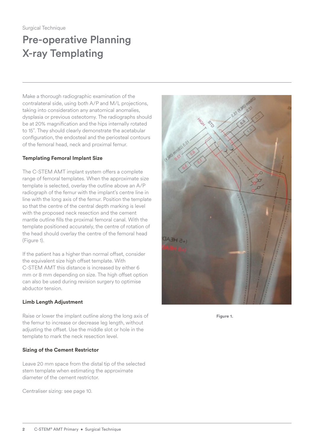## <span id="page-3-0"></span>Pre-operative Planning X-ray Templating

Make a thorough radiographic examination of the contralateral side, using both A/P and M/L projections, taking into consideration any anatomical anomalies, dysplasia or previous osteotomy. The radiographs should be at 20% magnification and the hips internally rotated to 15˚. They should clearly demonstrate the acetabular configuration, the endosteal and the periosteal contours of the femoral head, neck and proximal femur.

#### **Templating Femoral Implant Size**

The C-STEM AMT implant system offers a complete range of femoral templates. When the approximate size template is selected, overlay the outline above an A/P radiograph of the femur with the implant's centre line in line with the long axis of the femur. Position the template so that the centre of the central depth marking is level with the proposed neck resection and the cement mantle outline fills the proximal femoral canal. With the template positioned accurately, the centre of rotation of the head should overlay the centre of the femoral head (Figure 1).

If the patient has a higher than normal offset, consider the equivalent size high offset template. With C-STEM AMT this distance is increased by either 6 mm or 8 mm depending on size. The high offset option can also be used during revision surgery to optimise abductor tension.

#### **Limb Length Adjustment**

Raise or lower the implant outline along the long axis of the femur to increase or decrease leg length, without adjusting the offset. Use the middle slot or hole in the template to mark the neck resection level.

#### **Sizing of the Cement Restrictor**

Leave 20 mm space from the distal tip of the selected stem template when estimating the approximate diameter of the cement restrictor.

Centraliser sizing: see [page 10.](#page-11-1)



**Figure 1.**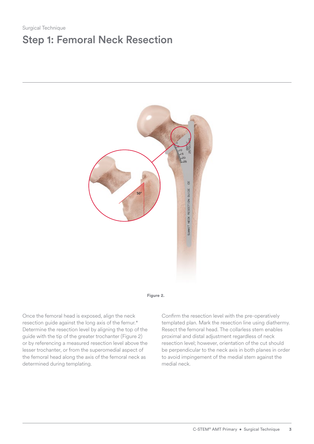### <span id="page-4-0"></span>Surgical Technique Step 1: Femoral Neck Resection





Once the femoral head is exposed, align the neck resection guide against the long axis of the femur.\* Determine the resection level by aligning the top of the guide with the tip of the greater trochanter (Figure 2) or by referencing a measured resection level above the lesser trochanter, or from the superomedial aspect of the femoral head along the axis of the femoral neck as determined during templating.

Confirm the resection level with the pre-operatively templated plan. Mark the resection line using diathermy. Resect the femoral head. The collarless stem enables proximal and distal adjustment regardless of neck resection level; however, orientation of the cut should be perpendicular to the neck axis in both planes in order to avoid impingement of the medial stem against the medial neck.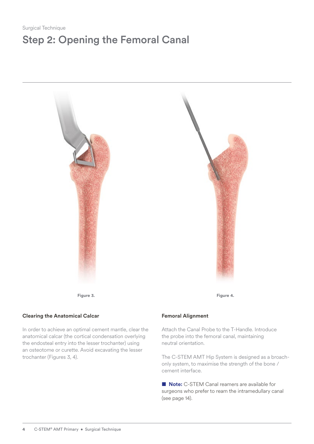### <span id="page-5-0"></span>Step 2: Opening the Femoral Canal



**Figure 3. Figure** 4.

#### **Clearing the Anatomical Calcar**

In order to achieve an optimal cement mantle, clear the anatomical calcar (the cortical condensation overlying the endosteal entry into the lesser trochanter) using an osteotome or curette. Avoid excavating the lesser trochanter (Figures 3, 4).

#### **Femoral Alignment**

Attach the Canal Probe to the T-Handle. Introduce the probe into the femoral canal, maintaining neutral orientation.

The C-STEM AMT Hip System is designed as a broachonly system, to maximise the strength of the bone / cement interface.

■ **Note:** C-STEM Canal reamers are available for surgeons who prefer to ream the intramedullary canal (see [page 14\)](#page-15-1).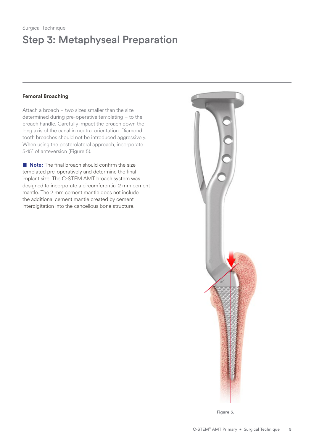## <span id="page-6-0"></span>Step 3: Metaphyseal Preparation

#### **Femoral Broaching**

Attach a broach – two sizes smaller than the size determined during pre-operative templating – to the broach handle. Carefully impact the broach down the long axis of the canal in neutral orientation. Diamond tooth broaches should not be introduced aggressively. When using the posterolateral approach, incorporate 5-15˚ of anteversion (Figure 5).

■ **Note:** The final broach should confirm the size templated pre-operatively and determine the final implant size. The C-STEM AMT broach system was designed to incorporate a circumferential 2 mm cement mantle. The 2 mm cement mantle does not include the additional cement mantle created by cement interdigitation into the cancellous bone structure.



**Figure 5.**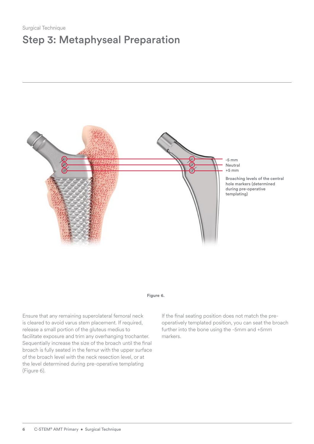### Step 3: Metaphyseal Preparation



#### **Figure 6.**

Ensure that any remaining superolateral femoral neck is cleared to avoid varus stem placement. If required, release a small portion of the gluteus medius to facilitate exposure and trim any overhanging trochanter. Sequentially increase the size of the broach until the final broach is fully seated in the femur with the upper surface of the broach level with the neck resection level, or at the level determined during pre-operative templating (Figure 6).

If the final seating position does not match the preoperatively templated position, you can seat the broach further into the bone using the -5mm and +5mm markers.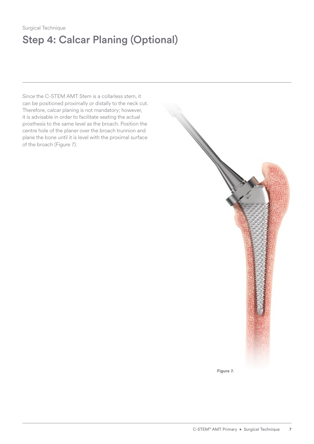### <span id="page-8-0"></span>Surgical Technique Step 4: Calcar Planing (Optional)

Since the C-STEM AMT Stem is a collarless stem, it can be positioned proximally or distally to the neck cut. Therefore, calcar planing is not mandatory; however, it is advisable in order to facilitate seating the actual prosthesis to the same level as the broach. Position the centre hole of the planer over the broach trunnion and plane the bone until it is level with the proximal surface of the broach (Figure 7).

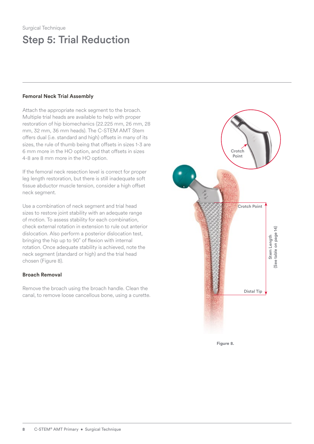### <span id="page-9-0"></span>Step 5: Trial Reduction

#### **Femoral Neck Trial Assembly**

Attach the appropriate neck segment to the broach. Multiple trial heads are available to help with proper restoration of hip biomechanics (22.225 mm, 26 mm, 28 mm, 32 mm, 36 mm heads). The C-STEM AMT Stem offers dual (i.e. standard and high) offsets in many of its sizes, the rule of thumb being that offsets in sizes 1-3 are 6 mm more in the HO option, and that offsets in sizes 4-8 are 8 mm more in the HO option.

If the femoral neck resection level is correct for proper leg length restoration, but there is still inadequate soft tissue abductor muscle tension, consider a high offset neck segment.

Use a combination of neck segment and trial head sizes to restore joint stability with an adequate range of motion. To assess stability for each combination, check external rotation in extension to rule out anterior dislocation. Also perform a posterior dislocation test, bringing the hip up to 90˚ of flexion with internal rotation. Once adequate stability is achieved, note the neck segment (standard or high) and the trial head chosen (Figure 8).

#### **Broach Removal**

Remove the broach using the broach handle. Clean the canal, to remove loose cancellous bone, using a curette.



**Figure 8.**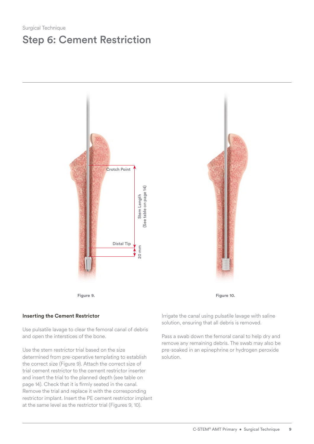### <span id="page-10-0"></span>Step 6: Cement Restriction





#### **Inserting the Cement Restrictor**

Use pulsatile lavage to clear the femoral canal of debris and open the interstices of the bone.

Use the stem restrictor trial based on the size determined from pre-operative templating to establish the correct size (Figure 9). Attach the correct size of trial cement restrictor to the cement restrictor inserter and insert the trial to the planned depth (see table on [page 14\)](#page-15-1). Check that it is firmly seated in the canal. Remove the trial and replace it with the corresponding restrictor implant. Insert the PE cement restrictor implant at the same level as the restrictor trial (Figures 9, 10).

Irrigate the canal using pulsatile lavage with saline solution, ensuring that all debris is removed.

Pass a swab down the femoral canal to help dry and remove any remaining debris. The swab may also be pre-soaked in an epinephrine or hydrogen peroxide solution.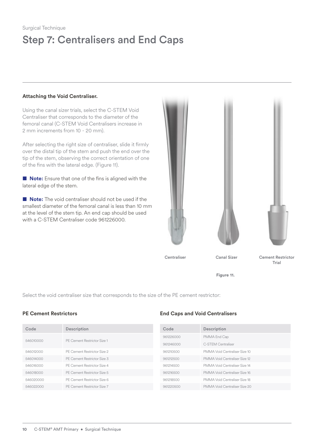## <span id="page-11-0"></span>Step 7: Centralisers and End Caps

#### **Attaching the Void Centraliser.**

Using the canal sizer trials, select the C-STEM Void Centraliser that corresponds to the diameter of the femoral canal (C-STEM Void Centralisers increase in 2 mm increments from 10 - 20 mm).

After selecting the right size of centraliser, slide it firmly over the distal tip of the stem and push the end over the tip of the stem, observing the correct orientation of one of the fins with the lateral edge. (Figure 11).

■ **Note:** Ensure that one of the fins is aligned with the lateral edge of the stem.

■ **Note:** The void centraliser should not be used if the smallest diameter of the femoral canal is less than 10 mm at the level of the stem tip. An end cap should be used with a C-STEM Centraliser code 961226000.



**Figure 11.**

<span id="page-11-1"></span>Select the void centraliser size that corresponds to the size of the PE cement restrictor:

| Code      | Description                 | Code      | Description                   |
|-----------|-----------------------------|-----------|-------------------------------|
|           |                             | 961226000 | PMMA End Cap                  |
| 546010000 | PE Cement Restrictor Size 1 | 961246000 | C-STEM Centraliser            |
| 546012000 | PE Cement Restrictor Size 2 | 961210500 | PMMA Void Centraliser Size 10 |
| 546014000 | PE Cement Restrictor Size 3 | 961212500 | PMMA Void Centraliser Size 12 |
| 546016000 | PE Cement Restrictor Size 4 | 961214500 | PMMA Void Centraliser Size 14 |
| 546018000 | PE Cement Restrictor Size 5 | 961216500 | PMMA Void Centraliser Size 16 |
| 546020000 | PE Cement Restrictor Size 6 | 961218500 | PMMA Void Centraliser Size 18 |
| 546022000 | PE Cement Restrictor Size 7 | 961220500 | PMMA Void Centraliser Size 20 |
|           |                             |           |                               |

#### **PE Cement Restrictors End Caps and Void Centralisers**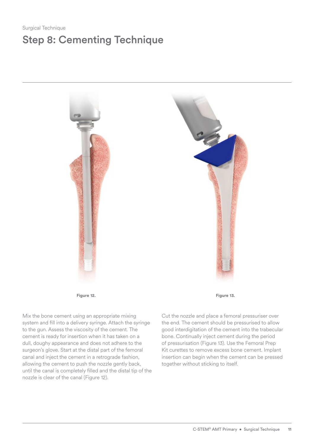### <span id="page-12-0"></span>Surgical Technique Step 8: Cementing Technique



Mix the bone cement using an appropriate mixing system and fill into a delivery syringe. Attach the syringe to the gun. Assess the viscosity of the cement. The cement is ready for insertion when it has taken on a dull, doughy appearance and does not adhere to the surgeon's glove. Start at the distal part of the femoral canal and inject the cement in a retrograde fashion, allowing the cement to push the nozzle gently back, until the canal is completely filled and the distal tip of the nozzle is clear of the canal (Figure 12).

**Figure** 12. **Figure** 13.

Cut the nozzle and place a femoral pressuriser over the end. The cement should be pressurised to allow good interdigitation of the cement into the trabecular bone. Continually inject cement during the period of pressurisation (Figure 13). Use the Femoral Prep Kit curettes to remove excess bone cement. Implant insertion can begin when the cement can be pressed together without sticking to itself.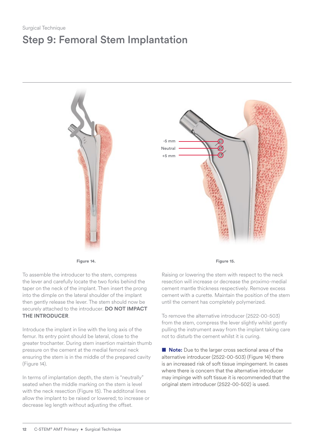## <span id="page-13-0"></span>Step 9: Femoral Stem Implantation



To assemble the introducer to the stem, compress the lever and carefully locate the two forks behind the taper on the neck of the implant. Then insert the prong into the dimple on the lateral shoulder of the implant then gently release the lever. The stem should now be securely attached to the introducer. **DO NOT IMPACT THE INTRODUCER**.

Introduce the implant in line with the long axis of the femur. Its entry point should be lateral, close to the greater trochanter. During stem insertion maintain thumb pressure on the cement at the medial femoral neck ensuring the stem is in the middle of the prepared cavity (Figure 14).

In terms of implantation depth, the stem is "neutrally" seated when the middle marking on the stem is level with the neck resection (Figure 15). The additonal lines allow the implant to be raised or lowered; to increase or decrease leg length without adjusting the offset.

**Figure** 14. **Figure** 14.

Raising or lowering the stem with respect to the neck resection will increase or decrease the proximo-medial cement mantle thickness respectively. Remove excess cement with a curette. Maintain the position of the stem until the cement has completely polymerized.

To remove the alternative introducer (2522-00-503) from the stem, compress the lever slightly whilst gently pulling the instrument away from the implant taking care not to disturb the cement whilst it is curing.

■ **Note:** Due to the larger cross sectional area of the alternative introducer (2522-00-503) (Figure 14) there is an increased risk of soft tissue impingement. In cases where there is concern that the alternative introducer may impinge with soft tissue it is recommended that the original stem introducer (2522-00-502) is used.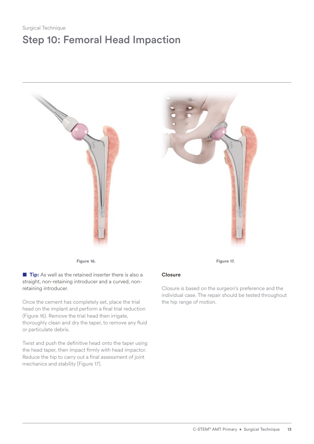### <span id="page-14-0"></span>Step 10: Femoral Head Impaction



**Figure 16. Figure** 16.

■ **Tip:** As well as the retained inserter there is also a straight, non-retaining introducer and a curved, nonretaining introducer.

Once the cement has completely set, place the trial head on the implant and perform a final trial reduction (Figure 16). Remove the trial head then irrigate, thoroughly clean and dry the taper, to remove any fluid or particulate debris.

Twist and push the definitive head onto the taper using the head taper, then impact firmly with head impactor. Reduce the hip to carry out a final assessment of joint mechanics and stability (Figure 17).

#### **Closure**

Closure is based on the surgeon's preference and the individual case. The repair should be tested throughout the hip range of motion.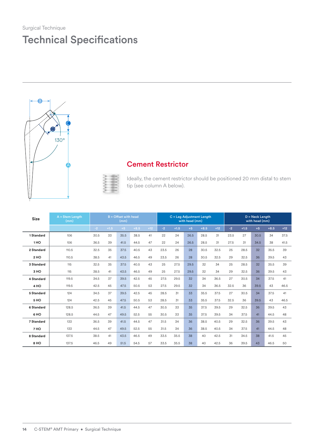### <span id="page-15-0"></span>Technical Specifications





### Cement Restrictor

Ideally, the cement restrictor should be positioned 20 mm distal to stem tip (see column A below).

<span id="page-15-1"></span>

| <b>Size</b> | $A =$ Stem Lenath<br>(mm) | $B =$ Offset with head<br>(mm) |        |      |        |       |      | C = Leg Adjustment Length<br>with head (mm) |      |        |       | $D =$ Neck Lenath<br>with head (mm) |        |      |        |       |
|-------------|---------------------------|--------------------------------|--------|------|--------|-------|------|---------------------------------------------|------|--------|-------|-------------------------------------|--------|------|--------|-------|
|             |                           | $-2$                           | $+1.5$ | $+5$ | $+8.5$ | $+12$ | $-2$ | $+1.5$                                      | $+5$ | $+8.5$ | $+12$ | $-2$                                | $+1.5$ | $+5$ | $+8.5$ | $+12$ |
| 1 Standard  | 106                       | 30.5                           | 33     | 35.5 | 38.5   | 41    | 22   | 24                                          | 26.5 | 28.5   | 31    | 23.5                                | 27     | 30.5 | 34     | 37.5  |
| 1HO         | 106                       | 36.5                           | 39     | 41.5 | 44.5   | 47    | 22   | 24                                          | 26.5 | 28.5   | 31    | 27.5                                | 31     | 34.5 | 38     | 41.5  |
| 2 Standard  | 110.5                     | 32.5                           | 35     | 37.5 | 40.5   | 43    | 23.5 | 26                                          | 28   | 30.5   | 32.5  | 25                                  | 28.5   | 32   | 35.5   | 39    |
| 2HO         | 110.5                     | 38.5                           | 41     | 43.5 | 46.5   | 49    | 23.5 | 26                                          | 28   | 30.5   | 32.5  | 29                                  | 32.5   | 36   | 39.5   | 43    |
| 3 Standard  | 115                       | 32.5                           | 35     | 37.5 | 40.5   | 43    | 25   | 27.5                                        | 29.5 | 32     | 34    | 25                                  | 28.5   | 32   | 35.5   | 39    |
| 3 HO        | 115                       | 38.5                           | 41     | 43.5 | 46.5   | 49    | 25   | 27.5                                        | 29.5 | 32     | 34    | 29                                  | 32.5   | 36   | 39.5   | 43    |
| 4 Standard  | 119.5                     | 34.5                           | 37     | 39.5 | 42.5   | 45    | 27.5 | 29.5                                        | 32   | 34     | 36.5  | 27                                  | 30.5   | 34   | 37.5   | 41    |
| 4 HO        | 119.5                     | 42.5                           | 45     | 47.5 | 50.5   | 53    | 27.5 | 29.5                                        | 32   | 34     | 36.5  | 32.5                                | 36     | 39.5 | 43     | 46.5  |
| 5 Standard  | 124                       | 34.5                           | 37     | 39.5 | 42.5   | 45    | 28.5 | 31                                          | 33   | 35.5   | 37.5  | 27                                  | 30.5   | 34   | 37.5   | 41    |
| 5 HO        | 124                       | 42.5                           | 45     | 47.5 | 50.5   | 53    | 28.5 | 31                                          | 33   | 35.5   | 37.5  | 32.5                                | 36     | 39.5 | 43     | 46.5  |
| 6 Standard  | 128.5                     | 36.5                           | 39     | 41.5 | 44.5   | 47    | 30.5 | 33                                          | 35   | 37.5   | 39.5  | 29                                  | 32.5   | 36   | 39.5   | 43    |
| 6 HO        | 128.5                     | 44.5                           | 47     | 49.5 | 52.5   | 55    | 30.5 | 33                                          | 35   | 37.5   | 39.5  | 34                                  | 37.5   | 41   | 44.5   | 48    |
| 7 Standard  | 133                       | 36.5                           | 39     | 41.5 | 44.5   | 47    | 31.5 | 34                                          | 36   | 38.5   | 40.5  | 29                                  | 32.5   | 36   | 39.5   | 43    |
| 7 HO        | 133                       | 44.5                           | 47     | 49.5 | 52.5   | 55    | 31.5 | 34                                          | 36   | 38.5   | 40.5  | 34                                  | 37.5   | 41   | 44.5   | 48    |
| 8 Standard  | 137.5                     | 38.5                           | 41     | 43.5 | 46.5   | 49    | 33.5 | 35.5                                        | 38   | 40     | 42.5  | 31                                  | 34.5   | 38   | 41.5   | 45    |
| 8 HO        | 137.5                     | 46.5                           | 49     | 51.5 | 54.5   | 57    | 33.5 | 35.5                                        | 38   | 40     | 42.5  | 36                                  | 39.5   | 43   | 46.5   | 50    |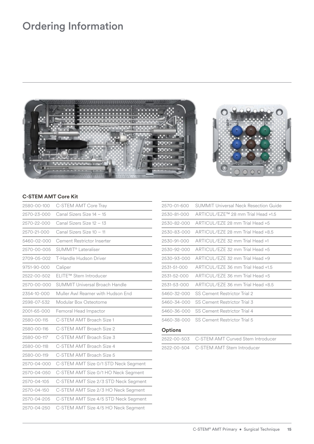### <span id="page-16-0"></span>Ordering Information



#### **C-STEM AMT Core Kit**

| 2580-00-100 | C-STEM AMT Core Tray                  |
|-------------|---------------------------------------|
| 2570-23-000 | Canal Sizers Size 14 - 15             |
| 2570-22-000 | Canal Sizers Size 12 - 13             |
| 2570-21-000 | Canal Sizers Size 10 - 11             |
| 5460-02-000 | Cement Restrictor Inserter            |
| 2570-00-005 | SUMMIT <sup>®</sup> Lateraliser       |
| 2709-05-002 | T-Handle Hudson Driver                |
| 9751-90-000 | Caliper                               |
| 2522-00-502 | ELITE™ Stem Introducer                |
| 2570-00-000 | <b>SUMMIT Universal Broach Handle</b> |
| 2354-10-000 | Muller Awl Reamer with Hudson End     |
| 2598-07-532 | Modular Box Osteotome                 |
| 2001-65-000 | Femoral Head Impactor                 |
| 2580-00-115 | C-STFM AMT Broach Size 1              |
| 2580-00-116 | C-STEM AMT Broach Size 2              |
| 2580-00-117 | C-STEM AMT Broach Size 3              |
| 2580-00-118 | C-STEM AMT Broach Size 4              |
| 2580-00-119 | C-STEM AMT Broach Size 5              |
| 2570-04-000 | C-STEM AMT Size 0/1 STD Neck Segment  |
| 2570-04-050 | C-STEM AMT Size 0/1 HO Neck Segment   |
| 2570-04-105 | C-STEM AMT Size 2/3 STD Neck Segment  |
| 2570-04-150 | C-STEM AMT Size 2/3 HO Neck Segment   |
| 2570-04-205 | C-STEM AMT Size 4/5 STD Neck Segment  |
| 2570-04-250 | C-STEM AMT Size 4/5 HO Neck Segment   |

| 2570-01-600 | SUMMIT Universal Neck Resection Guide |
|-------------|---------------------------------------|
| 2530-81-000 | ARTICUL/EZE™ 28 mm Trial Head +1.5    |
| 2530-82-000 | ARTICUL/EZE 28 mm Trial Head +5       |
| 2530-83-000 | ARTICUL/EZE 28 mm Trial Head +8.5     |
| 2530-91-000 | ARTICUL/EZE 32 mm Trial Head +1       |
| 2530-92-000 | ARTICUL/EZE 32 mm Trial Head +5       |
| 2530-93-000 | ARTICUL/EZE 32 mm Trial Head +9       |
| 2531-51-000 | ARTICUL/F7F 36 mm Trial Head +1.5     |
| 2531-52-000 | ARTICUL/EZE 36 mm Trial Head +5       |
| 2531-53-000 | ARTICUL/EZE 36 mm Trial Head +8.5     |
| 5460-32-000 | SS Cement Restrictor Trial 2          |
| 5460-34-000 | SS Cement Restrictor Trial 3          |
| 5460-36-000 | <b>SS Cement Restrictor Trial 4</b>   |
| 5460-38-000 | SS Cement Restrictor Trial 5          |
|             |                                       |

### **Options**

| 2522-00-503 C-STEM AMT Curved Stem Introducer |
|-----------------------------------------------|
| 2522-00-504 C-STEM AMT Stem Introducer        |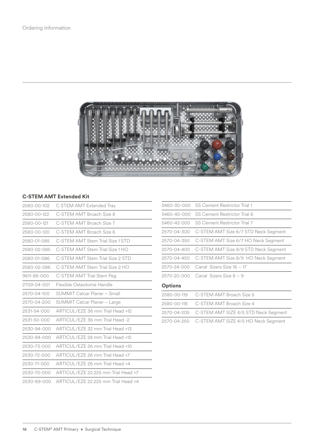

#### **C-STEM AMT Extended Kit**

| 2580-00-102 | C STEM AMT Extended Tray              |
|-------------|---------------------------------------|
| 2580-00-122 | C-STEM AMT Broach Size 8              |
| 2580-00-121 | C-STEM AMT Broach Size 7              |
| 2580-00-120 | C-STEM AMT Broach Size 6              |
| 2580-01-085 | C-STEM AMT Stem Trial Size 1 STD      |
| 2580-02-085 | C-STFM AMT Stem Trial Size 1 HO       |
| 2580-01-086 | C-STEM AMT Stem Trial Size 2 STD      |
| 2580-02-086 | C-STFM AMT Stem Trial Size 2 HO       |
| 9611-88-000 | C-STEM AMT Trial Stem Peg             |
| 2709-04-001 | Flexible Osteotome Handle             |
| 2570-04-100 | SUMMIT Calcar Planer - Small          |
| 2570-04-200 | SUMMIT Calcar Planer - Large          |
| 2531-54-000 | ARTICUL/EZE 36 mm Trial Head +12      |
| 2531-50-000 | ARTICUL/EZE 36 mm Trial Head -2       |
| 2530-94-000 | ARTICUL/EZE 32 mm Trial Head +13      |
| 2530-84-000 | ARTICUL/EZE 28 mm Trial Head +12      |
| 2530-73-000 | ARTICUL / F7F 26 mm Trial Head +10    |
| 2530-72-000 | ARTICUL / F7F 26 mm Trial Head +7     |
| 2530-71-000 | ARTICUL/EZE 26 mm Trial Head +4       |
| 2530-70-000 | ARTICUL / F7F 22.225 mm Trial Head +7 |
| 2530-69-000 | ARTICUL/EZE 22.225 mm Trial Head +4   |
|             |                                       |

|                                                 | 5460-30-000 SS Cement Restrictor Trial 1         |
|-------------------------------------------------|--------------------------------------------------|
|                                                 | 5460-40-000 SS Cement Restrictor Trial 6         |
|                                                 | 5460-42-000 SS Cement Restrictor Trial 7         |
|                                                 | 2570-04-300 C-STEM AMT Size 6/7 STD Neck Segment |
|                                                 | 2570-04-350 C-STEM AMT Size 6/7 HO Neck Segment  |
|                                                 | 2570-04-400 C-STEM AMT Size 8/9 STD Neck Segment |
|                                                 | 2570-04-450 C-STEM AMT Size 8/9 HO Neck Segment  |
|                                                 | 2570-24-000 Canal Sizers Size 16 - 17            |
|                                                 | $2570 - 20 - 000$ Canal Sizers Size $8 - 9$      |
| $\bigcap_{x\in A} f(x) = \bigcap_{x\in A} f(x)$ |                                                  |

#### **Options**

| 2580-00-119 C-STEM AMT Broach Size 5             |
|--------------------------------------------------|
| 2580-00-118 C-STEM AMT Broach Size 4             |
| 2570-04-205 C-STEM AMT SIZE 4/5 STD Neck Segment |
| 2570-04-250 C-STEM AMT SIZE 4/5 HO Neck Segment  |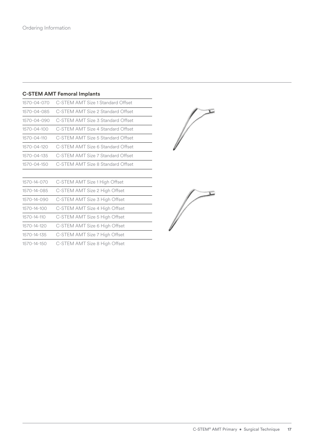#### **C-STEM AMT Femoral Implants**

| 1570-04-070       | C-STEM AMT Size 1 Standard Offset |
|-------------------|-----------------------------------|
| 1570-04-085       | C-STEM AMT Size 2 Standard Offset |
| 1570-04-090       | C-STEM AMT Size 3 Standard Offset |
| 1570-04-100       | C-STEM AMT Size 4 Standard Offset |
| $1570 - 04 - 110$ | C-STEM AMT Size 5 Standard Offset |
| 1570-04-120       | C-STEM AMT Size 6 Standard Offset |
| 1570-04-135       | C-STEM AMT Size 7 Standard Offset |
| 1570-04-150       | C-STEM AMT Size 8 Standard Offset |
|                   |                                   |
| $1570 - 11 - 070$ | C-STEM AMT Size 1 High Offeet     |

| 15/0-14-0/0     | - C-STEM AMT Size 1 High Offset          |
|-----------------|------------------------------------------|
| 1570-14-085     | C-STEM AMT Size 2 High Offset            |
| 1570-14-090     | C-STEM AMT Size 3 High Offset            |
| 1570-14-100     | C-STEM AMT Size 4 High Offset            |
| 1570-14-110     | C-STEM AMT Size 5 High Offset            |
| 1570-14-120     | C-STEM AMT Size 6 High Offset            |
| 1570-14-135     | C-STEM AMT Size 7 High Offset            |
| $1570$ 11 $150$ | $\cap$ CTEM ANAT City O Ligh $\cap$ Heat |



1570-14-150 C-STEM AMT Size 8 High Offset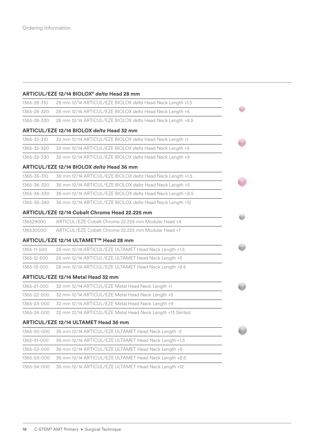#### **ARTICUL/EZE 12/14 BIOLOX®** *delta* **Head 28 mm**

| 1365-28-310 | 28 mm 12/14 ARTICUL/EZE BIOLOX delta Head Neck Length +1.5 |  |
|-------------|------------------------------------------------------------|--|
| 1365-28-320 | 28 mm 12/14 ARTICUL/EZE BIOLOX delta Head Neck Length +5   |  |
| 1365-28-330 | 28 mm 12/14 ARTICUL/EZE BIOLOX delta Head Neck Length +8.5 |  |
|             | ARTICUL/EZE 12/14 BIOLOX delta Head 32 mm                  |  |
| 1365-32-310 | 32 mm 12/14 ARTICUL/EZE BIOLOX delta Head Neck Length +1   |  |
| 1365-32-320 | 32 mm 12/14 ARTICUL/EZE BIOLOX delta Head Neck Length +5   |  |
| 1365-32-330 | 32 mm 12/14 ARTICUL/EZE BIOLOX delta Head Neck Length +9   |  |
|             | ARTICUL/EZE 12/14 BIOLOX delta Head 36 mm                  |  |
| 1365-36-310 | 36 mm 12/14 ARTICUL/EZE BIOLOX delta Head Neck Length +1.5 |  |
| 1365-36-320 | 36 mm 12/14 ARTICUL/EZE BIOLOX delta Head Neck Length +5   |  |
| 1365-36-330 | 36 mm 12/14 ARTICUL/EZE BIOLOX delta Head Neck Length +8.5 |  |
| 1365-36-340 | 36 mm 12/14 ARTICUL/EZE BIOLOX delta Head Neck Length +12  |  |
|             | ARTICUL/EZE 12/14 Cobalt Chrome Head 22.225 mm             |  |
| 136529000   | ARTICUL/EZE Cobalt Chrome 22.225 mm Modular Head +4        |  |
| 136530000   | ARTICUL/EZE Cobalt Chrome 22.225 mm Modular Head +7        |  |
|             | ARTICUL/EZE 12/14 ULTAMET™ Head 28 mm                      |  |
| 1365-11-500 | 28 mm 12/14 ARTICUL/EZE ULTAMET Head Neck Length +1.5      |  |
| 1365-12-500 | 28 mm 12/14 ARTICUL/EZE ULTAMET Head Neck Length +5        |  |
| 1365-13-500 | 28 mm 12/14 ARTICUL/EZE ULTAMET Head Neck Length +8.5      |  |
|             | <b>ARTICUL/EZE 12/14 Metal Head 32 mm</b>                  |  |
| 1365-21-000 | 32 mm 12/14 ARTICUL/EZE Metal Head Neck Length +1          |  |
| 1365-22-000 | 32 mm 12/14 ARTICUL/EZE Metal Head Neck Length +5          |  |
| 1365-23-000 | 32 mm 12/14 ARTICUL/EZE Metal Head Neck Length +9          |  |
| 1365-24-000 | 32 mm 12/14 ARTICUL/EZE Metal Head Neck Length +13 Skirted |  |
|             | ARTICUL/EZE 12/14 ULTAMET Head 36 mm                       |  |
| 1365-50-000 | 36 mm 12/14 ARTICUL/EZE ULTAMET Head Neck Length -2        |  |
| 1365-51-000 | 36 mm 12/14 ARTICUL/EZE ULTAMET Head Neck Length +1.5      |  |
| 1365-52-000 | 36 mm 12/14 ARTICUL/EZE ULTAMET Head Neck Length +5        |  |
| 1365-53-000 | 36 mm 12/14 ARTICUL/EZE ULTAMET Head Neck Length +8.5      |  |
| 1365-54-000 | 36 mm 12/14 ARTICUL/EZE ULTAMET Head Neck Length +12       |  |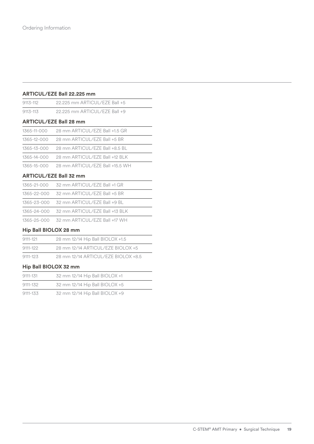#### **ARTICUL/EZE Ball 22.225 mm**

| 9113-112     | 22.225 mm ARTICUL/EZE Ball +5    |
|--------------|----------------------------------|
| $9113 - 113$ | 22.225 mm ARTICUL/EZE Ball +9    |
|              | <b>ARTICUL/EZE Ball 28 mm</b>    |
| 1365-11-000  | 28 mm ARTICUL / FZF Ball +1.5 GR |
| 1365-12-000  | 28 mm ARTICUL/EZE Ball +5 BR     |
| 1365-13-000  | 28 mm ARTICUL/EZE Ball +8.5 BL   |

1365-14-000 28 mm ARTICUL/EZE Ball +12 BLK

1365-15-000 28 mm ARTICUL/EZE Ball +15.5 WH

#### **ARTICUL/EZE Ball 32 mm**

| 1365-21-000 32 mm ARTICUL/EZE Ball +1 GR    |
|---------------------------------------------|
| 1365-22-000 32 mm ARTICUL/EZE Ball +5 BR    |
| 1365-23-000 32 mm ARTICUL/EZE Ball +9 BL    |
| 1365-24-000 32 mm ARTICUL/EZE Ball +13 BLK  |
| 1365-25-000 32 mm ARTICUL / FZF Ball +17 WH |

#### **Hip Ball BIOLOX 28 mm**

| 9111-121 | 28 mm 12/14 Hip Ball BIOLOX +1.5    |
|----------|-------------------------------------|
| 9111-122 | 28 mm 12/14 ARTICUL/EZE BIOLOX +5   |
| 9111-123 | 28 mm 12/14 ARTICUL/EZE BIOLOX +8.5 |

#### **Hip Ball BIOLOX 32 mm**

| 9111-131 | 32 mm 12/14 Hip Ball BIOLOX +1 |  |
|----------|--------------------------------|--|
| 9111-132 | 32 mm 12/14 Hip Ball BIOLOX +5 |  |
| 9111-133 | 32 mm 12/14 Hip Ball BIOLOX +9 |  |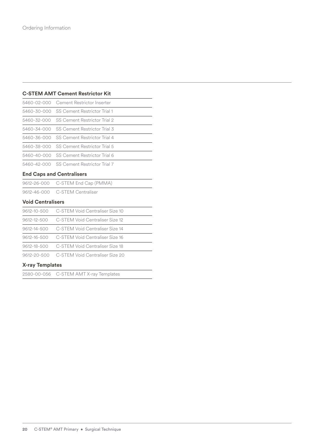#### **C-STEM AMT Cement Restrictor Kit**

| 5460-02-000 Cement Restrictor Inserter   |
|------------------------------------------|
| 5460-30-000 SS Cement Restrictor Trial 1 |
| 5460-32-000 SS Cement Restrictor Trial 2 |
| 5460-34-000 SS Cement Restrictor Trial 3 |
| 5460-36-000 SS Cement Restrictor Trial 4 |
| 5460-38-000 SS Cement Restrictor Trial 5 |
| 5460-40-000 SS Cement Restrictor Trial 6 |
| 5460-42-000 SS Cement Restrictor Trial 7 |

#### **End Caps and Centralisers**

| 9612-26-000 C-STEM End Cap (PMMA) |
|-----------------------------------|
| 9612-46-000 C-STEM Centraliser    |

#### **Void Centralisers**

| 9612-20-500 C-STFM Void Centraliser Size 20 |
|---------------------------------------------|
| 9612-18-500 C-STEM Void Centraliser Size 18 |
| 9612-16-500 C-STEM Void Centraliser Size 16 |
| 9612-14-500 C-STEM Void Centraliser Size 14 |
| 9612-12-500 C-STEM Void Centraliser Size 12 |
| 9612-10-500 C-STEM Void Centraliser Size 10 |

#### **X-ray Templates**

2580-00-056 C-STEM AMT X-ray Templates